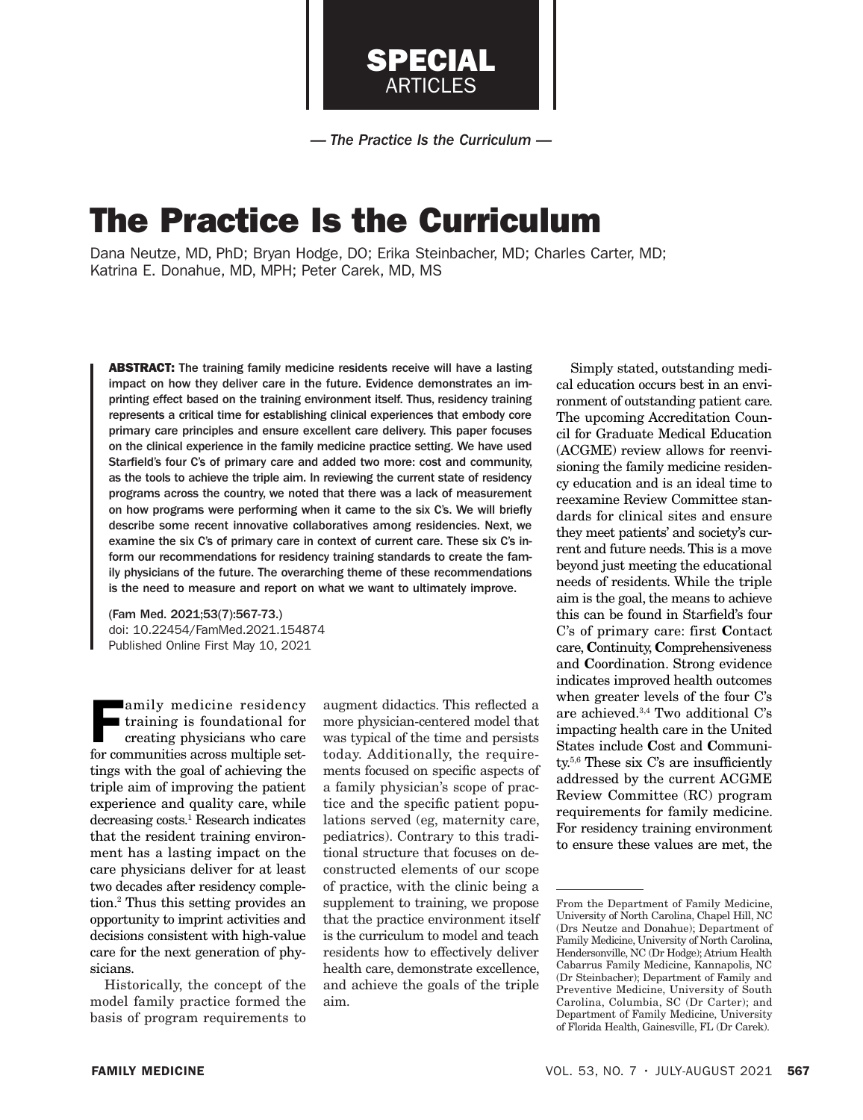

*— The Practice Is the Curriculum —*

# The Practice Is the Curriculum

Dana Neutze, MD, PhD; Bryan Hodge, DO; Erika Steinbacher, MD; Charles Carter, MD; Katrina E. Donahue, MD, MPH; Peter Carek, MD, MS

ABSTRACT: The training family medicine residents receive will have a lasting impact on how they deliver care in the future. Evidence demonstrates an imprinting effect based on the training environment itself. Thus, residency training represents a critical time for establishing clinical experiences that embody core primary care principles and ensure excellent care delivery. This paper focuses on the clinical experience in the family medicine practice setting. We have used Starfield's four C's of primary care and added two more: cost and community, as the tools to achieve the triple aim. In reviewing the current state of residency programs across the country, we noted that there was a lack of measurement on how programs were performing when it came to the six C's. We will briefly describe some recent innovative collaboratives among residencies. Next, we examine the six C's of primary care in context of current care. These six C's inform our recommendations for residency training standards to create the family physicians of the future. The overarching theme of these recommendations is the need to measure and report on what we want to ultimately improve.

(Fam Med. 2021;53(7):567-73.) doi: 10.22454/FamMed.2021.154874 Published Online First May 10, 2021

amily medicine residency<br>training is foundational for<br>creating physicians who care<br>for communities across multiple set training is foundational for creating physicians who care for communities across multiple settings with the goal of achieving the triple aim of improving the patient experience and quality care, while decreasing costs.1 Research indicates that the resident training environment has a lasting impact on the care physicians deliver for at least two decades after residency completion.2 Thus this setting provides an opportunity to imprint activities and decisions consistent with high-value care for the next generation of physicians.

Historically, the concept of the model family practice formed the basis of program requirements to augment didactics. This reflected a more physician-centered model that was typical of the time and persists today. Additionally, the requirements focused on specific aspects of a family physician's scope of practice and the specific patient populations served (eg, maternity care, pediatrics). Contrary to this traditional structure that focuses on deconstructed elements of our scope of practice, with the clinic being a supplement to training, we propose that the practice environment itself is the curriculum to model and teach residents how to effectively deliver health care, demonstrate excellence, and achieve the goals of the triple aim.

Simply stated, outstanding medical education occurs best in an environment of outstanding patient care. The upcoming Accreditation Council for Graduate Medical Education (ACGME) review allows for reenvisioning the family medicine residency education and is an ideal time to reexamine Review Committee standards for clinical sites and ensure they meet patients' and society's current and future needs. This is a move beyond just meeting the educational needs of residents. While the triple aim is the goal, the means to achieve this can be found in Starfield's four C's of primary care: first Contact care, Continuity, Comprehensiveness and Coordination. Strong evidence indicates improved health outcomes when greater levels of the four C's are achieved. $3,4$  Two additional C's impacting health care in the United States include Cost and Community.5,6 These six C's are insufficiently addressed by the current ACGME Review Committee (RC) program requirements for family medicine. For residency training environment to ensure these values are met, the

From the Department of Family Medicine, University of North Carolina, Chapel Hill, NC (Drs Neutze and Donahue); Department of Family Medicine, University of North Carolina, Hendersonville, NC (Dr Hodge); Atrium Health Cabarrus Family Medicine, Kannapolis, NC (Dr Steinbacher); Department of Family and Preventive Medicine, University of South Carolina, Columbia, SC (Dr Carter); and Department of Family Medicine, University of Florida Health, Gainesville, FL (Dr Carek).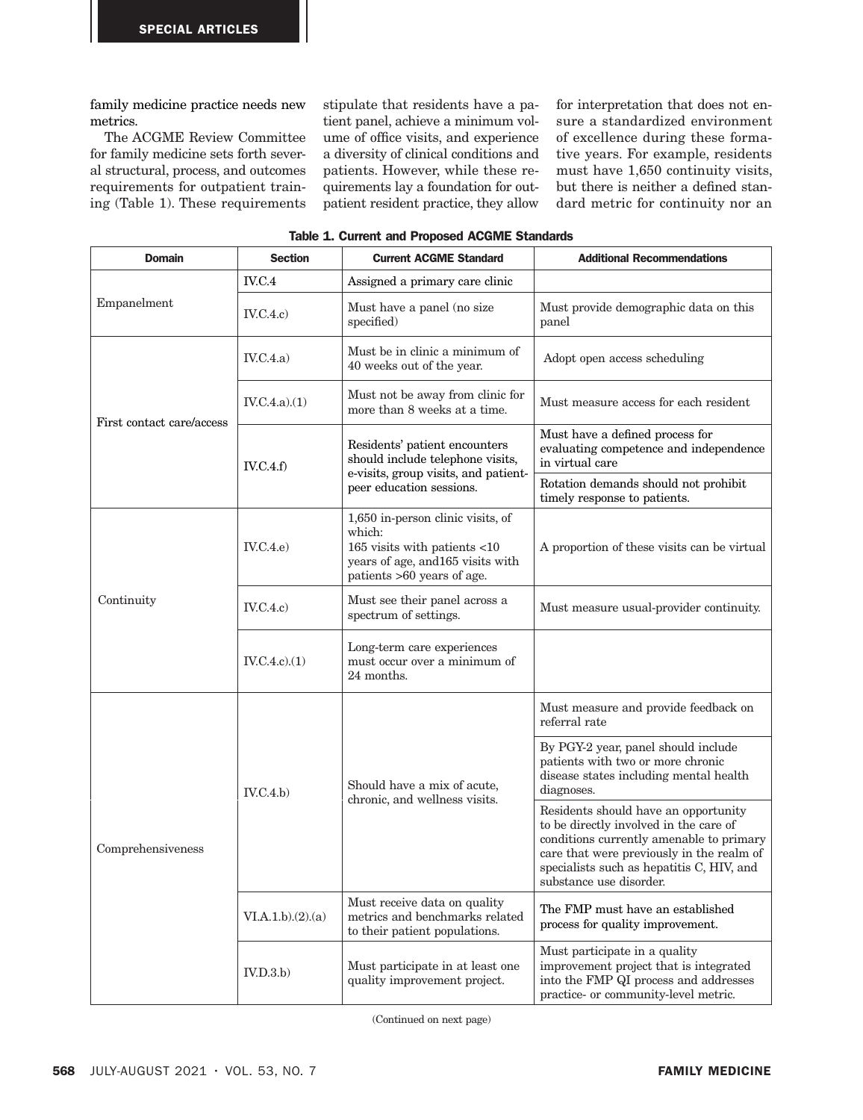family medicine practice needs new metrics.

The ACGME Review Committee for family medicine sets forth several structural, process, and outcomes requirements for outpatient training (Table 1). These requirements stipulate that residents have a patient panel, achieve a minimum volume of office visits, and experience a diversity of clinical conditions and patients. However, while these requirements lay a foundation for outpatient resident practice, they allow

for interpretation that does not ensure a standardized environment of excellence during these formative years. For example, residents must have 1,650 continuity visits, but there is neither a defined standard metric for continuity nor an

| <b>Domain</b>             | <b>Section</b>   | <b>Current ACGME Standard</b>                                                                                                                  | <b>Additional Recommendations</b>                                                                                                                                                                                                               |
|---------------------------|------------------|------------------------------------------------------------------------------------------------------------------------------------------------|-------------------------------------------------------------------------------------------------------------------------------------------------------------------------------------------------------------------------------------------------|
| Empanelment               | IV.C.4           | Assigned a primary care clinic                                                                                                                 |                                                                                                                                                                                                                                                 |
|                           | IV.C.4.c)        | Must have a panel (no size<br>specified)                                                                                                       | Must provide demographic data on this<br>panel                                                                                                                                                                                                  |
| First contact care/access | IV.C.4.a)        | Must be in clinic a minimum of<br>40 weeks out of the year.                                                                                    | Adopt open access scheduling                                                                                                                                                                                                                    |
|                           | IV.C.4.a)(1)     | Must not be away from clinic for<br>more than 8 weeks at a time.                                                                               | Must measure access for each resident                                                                                                                                                                                                           |
|                           | IV.C.4.f         | Residents' patient encounters<br>should include telephone visits,<br>e-visits, group visits, and patient-<br>peer education sessions.          | Must have a defined process for<br>evaluating competence and independence<br>in virtual care                                                                                                                                                    |
|                           |                  |                                                                                                                                                | Rotation demands should not prohibit<br>timely response to patients.                                                                                                                                                                            |
| Continuity                | IV.C.4.e         | 1,650 in-person clinic visits, of<br>which:<br>165 visits with patients <10<br>years of age, and 165 visits with<br>patients >60 years of age. | A proportion of these visits can be virtual                                                                                                                                                                                                     |
|                           | IV.C.4.c)        | Must see their panel across a<br>spectrum of settings.                                                                                         | Must measure usual-provider continuity.                                                                                                                                                                                                         |
|                           | IV.C.4.c.(1)     | Long-term care experiences<br>must occur over a minimum of<br>24 months.                                                                       |                                                                                                                                                                                                                                                 |
| Comprehensiveness         | IV.C.4.b)        | Should have a mix of acute,<br>chronic, and wellness visits.                                                                                   | Must measure and provide feedback on<br>referral rate                                                                                                                                                                                           |
|                           |                  |                                                                                                                                                | By PGY-2 year, panel should include<br>patients with two or more chronic<br>disease states including mental health<br>diagnoses.                                                                                                                |
|                           |                  |                                                                                                                                                | Residents should have an opportunity<br>to be directly involved in the care of<br>conditions currently amenable to primary<br>care that were previously in the realm of<br>specialists such as hepatitis C, HIV, and<br>substance use disorder. |
|                           | VI.A.1.b)(2).(a) | Must receive data on quality<br>metrics and benchmarks related<br>to their patient populations.                                                | The FMP must have an established<br>process for quality improvement.                                                                                                                                                                            |
|                           | IV.D.3.b         | Must participate in at least one<br>quality improvement project.                                                                               | Must participate in a quality<br>improvement project that is integrated<br>into the FMP QI process and addresses<br>practice- or community-level metric.                                                                                        |

(Continued on next page)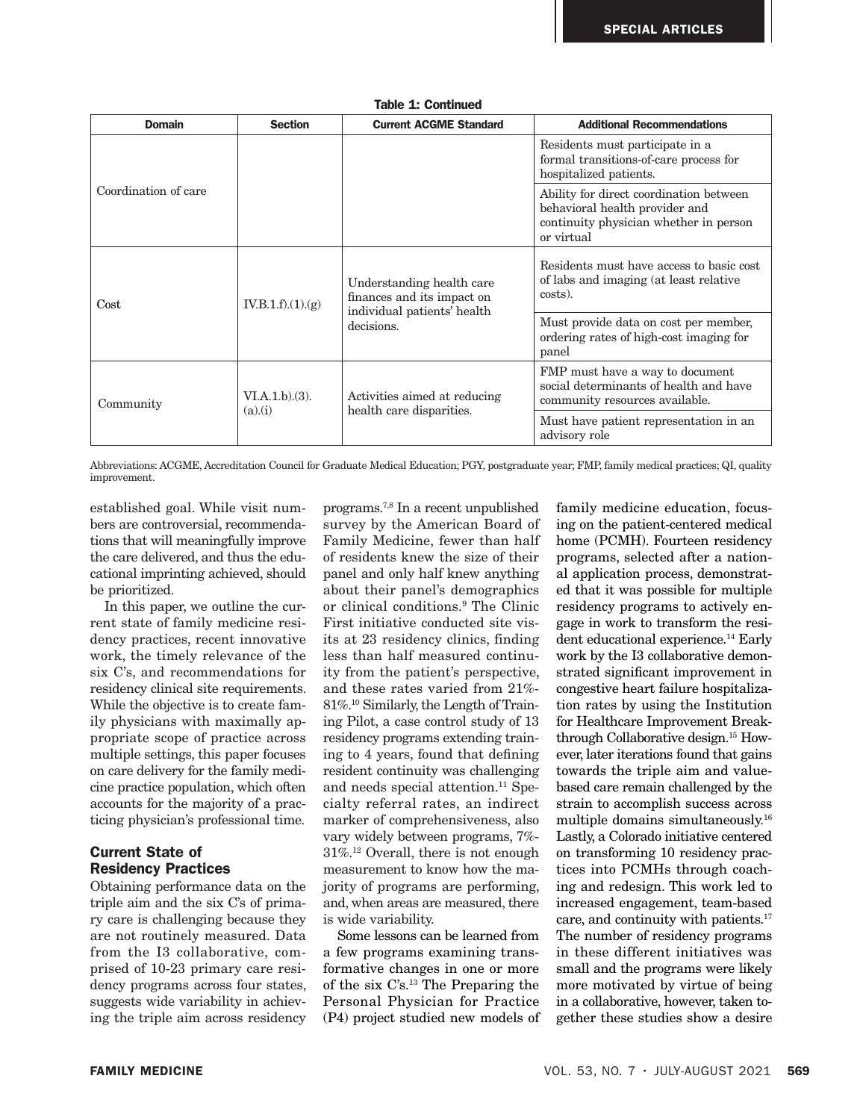| <b>Domain</b>        | <b>Section</b>          | <b>Current ACGME Standard</b>                                                                        | <b>Additional Recommendations</b>                                                                                                 |
|----------------------|-------------------------|------------------------------------------------------------------------------------------------------|-----------------------------------------------------------------------------------------------------------------------------------|
| Coordination of care |                         |                                                                                                      | Residents must participate in a<br>formal transitions-of-care process for<br>hospitalized patients.                               |
|                      |                         |                                                                                                      | Ability for direct coordination between<br>behavioral health provider and<br>continuity physician whether in person<br>or virtual |
| Cost                 | IV.B.1.f)(1)(g)         | Understanding health care<br>finances and its impact on<br>individual patients' health<br>decisions. | Residents must have access to basic cost<br>of labs and imaging (at least relative<br>costs).                                     |
|                      |                         |                                                                                                      | Must provide data on cost per member,<br>ordering rates of high-cost imaging for<br>panel                                         |
| Community            | VI.A.1.b)(3).<br>(a)(i) | Activities aimed at reducing<br>health care disparities.                                             | FMP must have a way to document<br>social determinants of health and have<br>community resources available.                       |
|                      |                         |                                                                                                      | Must have patient representation in an<br>advisory role                                                                           |

Table 1: Continued

Abbreviations: ACGME, Accreditation Council for Graduate Medical Education; PGY, postgraduate year; FMP, family medical practices; QI, quality improvement.

established goal. While visit numbers are controversial, recommendations that will meaningfully improve the care delivered, and thus the educational imprinting achieved, should be prioritized.

In this paper, we outline the current state of family medicine residency practices, recent innovative work, the timely relevance of the six C's, and recommendations for residency clinical site requirements. While the objective is to create family physicians with maximally appropriate scope of practice across multiple settings, this paper focuses on care delivery for the family medicine practice population, which often accounts for the majority of a practicing physician's professional time.

## Current State of Residency Practices

Obtaining performance data on the triple aim and the six C's of primary care is challenging because they are not routinely measured. Data from the I3 collaborative, comprised of 10-23 primary care residency programs across four states, suggests wide variability in achieving the triple aim across residency

programs.7,8 In a recent unpublished survey by the American Board of Family Medicine, fewer than half of residents knew the size of their panel and only half knew anything about their panel's demographics or clinical conditions.9 The Clinic First initiative conducted site visits at 23 residency clinics, finding less than half measured continuity from the patient's perspective, and these rates varied from 21%- 81%.10 Similarly, the Length of Training Pilot, a case control study of 13 residency programs extending training to 4 years, found that defining resident continuity was challenging and needs special attention.<sup>11</sup> Specialty referral rates, an indirect marker of comprehensiveness, also vary widely between programs, 7%- 31%.12 Overall, there is not enough measurement to know how the majority of programs are performing, and, when areas are measured, there is wide variability.

Some lessons can be learned from a few programs examining transformative changes in one or more of the six C's.13 The Preparing the Personal Physician for Practice (P4) project studied new models of

family medicine education, focusing on the patient-centered medical home (PCMH). Fourteen residency programs, selected after a national application process, demonstrated that it was possible for multiple residency programs to actively engage in work to transform the resident educational experience.<sup>14</sup> Early work by the I3 collaborative demonstrated significant improvement in congestive heart failure hospitalization rates by using the Institution for Healthcare Improvement Breakthrough Collaborative design.15 However, later iterations found that gains towards the triple aim and valuebased care remain challenged by the strain to accomplish success across multiple domains simultaneously.16 Lastly, a Colorado initiative centered on transforming 10 residency practices into PCMHs through coaching and redesign. This work led to increased engagement, team-based care, and continuity with patients.17 The number of residency programs in these different initiatives was small and the programs were likely more motivated by virtue of being in a collaborative, however, taken together these studies show a desire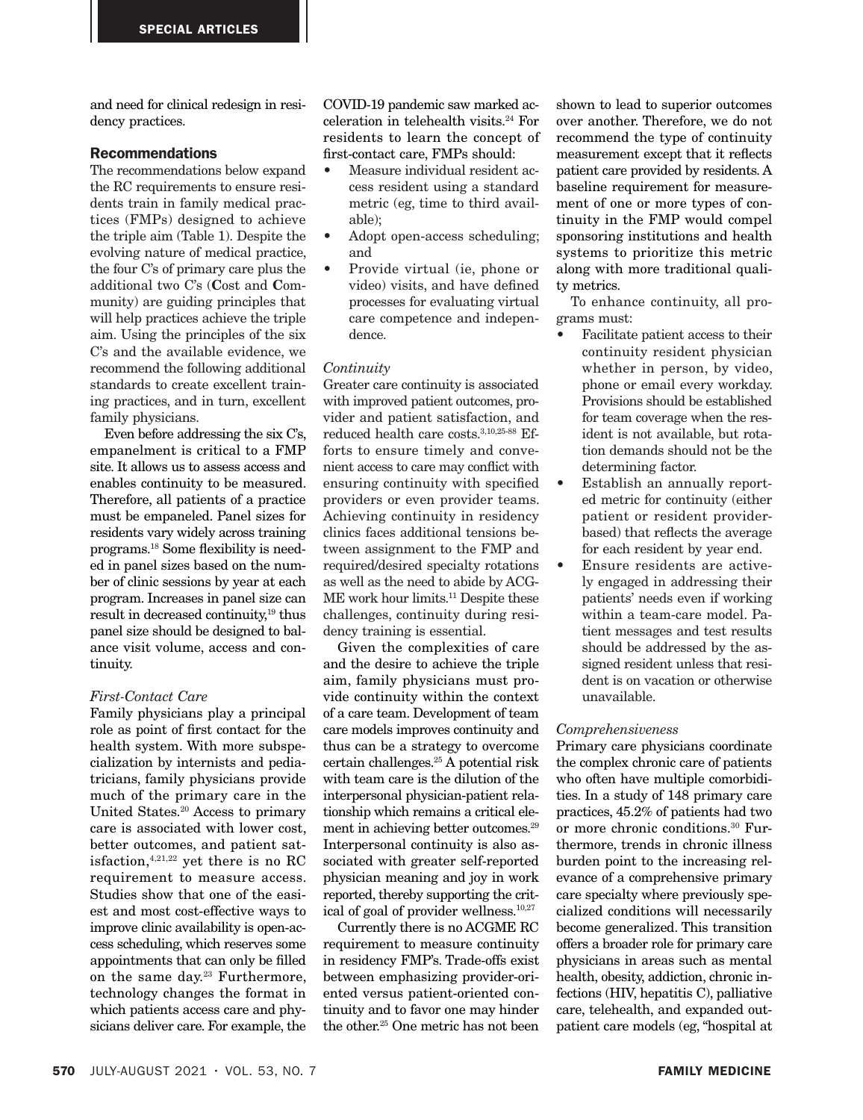and need for clinical redesign in residency practices.

## Recommendations

The recommendations below expand the RC requirements to ensure residents train in family medical practices (FMPs) designed to achieve the triple aim (Table 1). Despite the evolving nature of medical practice, the four C's of primary care plus the additional two C's (Cost and Community) are guiding principles that will help practices achieve the triple aim. Using the principles of the six C's and the available evidence, we recommend the following additional standards to create excellent training practices, and in turn, excellent family physicians.

Even before addressing the six C's, empanelment is critical to a FMP site. It allows us to assess access and enables continuity to be measured. Therefore, all patients of a practice must be empaneled. Panel sizes for residents vary widely across training programs.18 Some flexibility is needed in panel sizes based on the number of clinic sessions by year at each program. Increases in panel size can result in decreased continuity,<sup>19</sup> thus panel size should be designed to balance visit volume, access and continuity.

### *First-Contact Care*

Family physicians play a principal role as point of first contact for the health system. With more subspecialization by internists and pediatricians, family physicians provide much of the primary care in the United States.20 Access to primary care is associated with lower cost, better outcomes, and patient satisfaction,4,21,22 yet there is no RC requirement to measure access. Studies show that one of the easiest and most cost-effective ways to improve clinic availability is open-access scheduling, which reserves some appointments that can only be filled on the same day.23 Furthermore, technology changes the format in which patients access care and physicians deliver care. For example, the

COVID-19 pandemic saw marked acceleration in telehealth visits.24 For residents to learn the concept of first-contact care, FMPs should:

- Measure individual resident access resident using a standard metric (eg, time to third available);
- Adopt open-access scheduling; and
- Provide virtual (ie, phone or video) visits, and have defined processes for evaluating virtual care competence and independence.

#### *Continuity*

Greater care continuity is associated with improved patient outcomes, provider and patient satisfaction, and reduced health care costs.3,10,25-88 Efforts to ensure timely and convenient access to care may conflict with ensuring continuity with specified providers or even provider teams. Achieving continuity in residency clinics faces additional tensions between assignment to the FMP and required/desired specialty rotations as well as the need to abide by ACG-ME work hour limits.<sup>11</sup> Despite these challenges, continuity during residency training is essential.

Given the complexities of care and the desire to achieve the triple aim, family physicians must provide continuity within the context of a care team. Development of team care models improves continuity and thus can be a strategy to overcome certain challenges.25 A potential risk with team care is the dilution of the interpersonal physician-patient relationship which remains a critical element in achieving better outcomes.<sup>29</sup> Interpersonal continuity is also associated with greater self-reported physician meaning and joy in work reported, thereby supporting the critical of goal of provider wellness.10,27

Currently there is no ACGME RC requirement to measure continuity in residency FMP's. Trade-offs exist between emphasizing provider-oriented versus patient-oriented continuity and to favor one may hinder the other.25 One metric has not been

shown to lead to superior outcomes over another. Therefore, we do not recommend the type of continuity measurement except that it reflects patient care provided by residents. A baseline requirement for measurement of one or more types of continuity in the FMP would compel sponsoring institutions and health systems to prioritize this metric along with more traditional quality metrics.

To enhance continuity, all programs must:

- Facilitate patient access to their continuity resident physician whether in person, by video, phone or email every workday. Provisions should be established for team coverage when the resident is not available, but rotation demands should not be the determining factor.
- Establish an annually reported metric for continuity (either patient or resident providerbased) that reflects the average for each resident by year end.
- Ensure residents are actively engaged in addressing their patients' needs even if working within a team-care model. Patient messages and test results should be addressed by the assigned resident unless that resident is on vacation or otherwise unavailable.

#### *Comprehensiveness*

Primary care physicians coordinate the complex chronic care of patients who often have multiple comorbidities. In a study of 148 primary care practices, 45.2% of patients had two or more chronic conditions.30 Furthermore, trends in chronic illness burden point to the increasing relevance of a comprehensive primary care specialty where previously specialized conditions will necessarily become generalized. This transition offers a broader role for primary care physicians in areas such as mental health, obesity, addiction, chronic infections (HIV, hepatitis C), palliative care, telehealth, and expanded outpatient care models (eg, "hospital at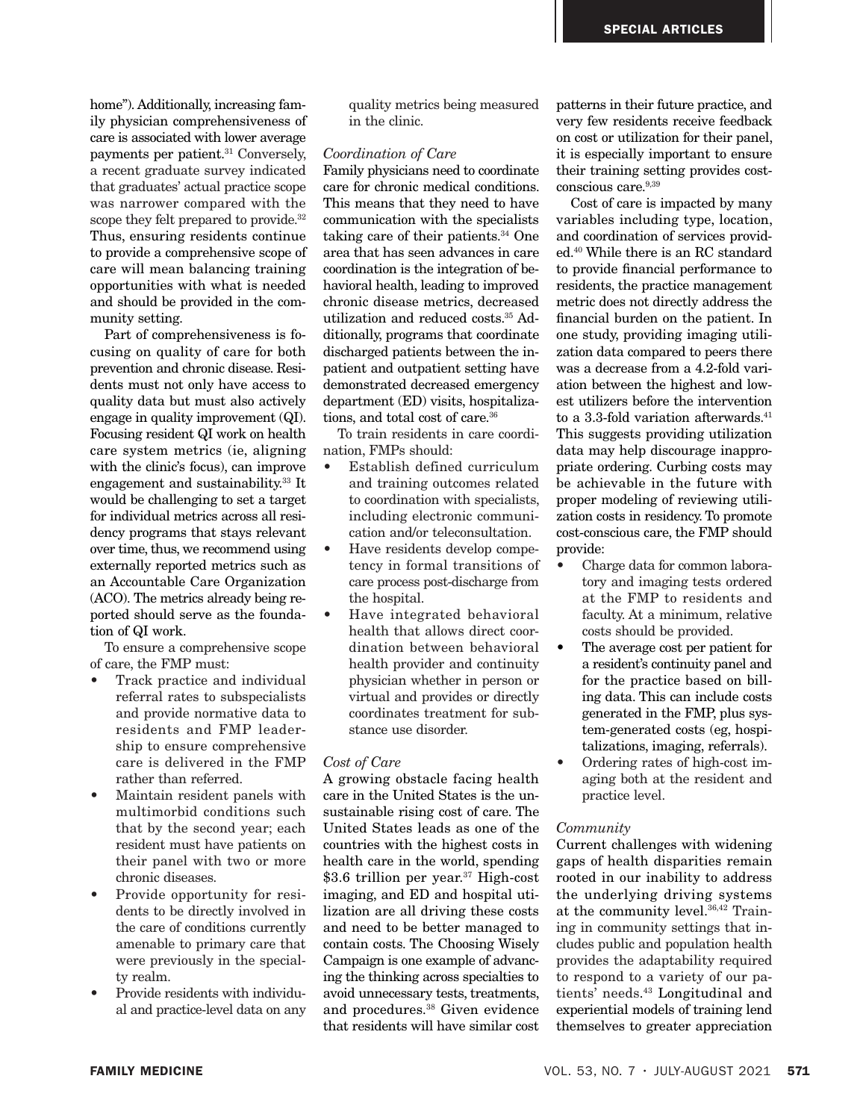home"). Additionally, increasing family physician comprehensiveness of care is associated with lower average payments per patient.31 Conversely, a recent graduate survey indicated that graduates' actual practice scope was narrower compared with the scope they felt prepared to provide.<sup>32</sup> Thus, ensuring residents continue to provide a comprehensive scope of care will mean balancing training opportunities with what is needed and should be provided in the community setting.

Part of comprehensiveness is focusing on quality of care for both prevention and chronic disease. Residents must not only have access to quality data but must also actively engage in quality improvement (QI). Focusing resident QI work on health care system metrics (ie, aligning with the clinic's focus), can improve engagement and sustainability.33 It would be challenging to set a target for individual metrics across all residency programs that stays relevant over time, thus, we recommend using externally reported metrics such as an Accountable Care Organization (ACO). The metrics already being reported should serve as the foundation of QI work.

To ensure a comprehensive scope of care, the FMP must:

- Track practice and individual referral rates to subspecialists and provide normative data to residents and FMP leadership to ensure comprehensive care is delivered in the FMP rather than referred.
- Maintain resident panels with multimorbid conditions such that by the second year; each resident must have patients on their panel with two or more chronic diseases.
- Provide opportunity for residents to be directly involved in the care of conditions currently amenable to primary care that were previously in the specialty realm.
- Provide residents with individual and practice-level data on any

quality metrics being measured in the clinic.

#### *Coordination of Care*

Family physicians need to coordinate care for chronic medical conditions. This means that they need to have communication with the specialists taking care of their patients.<sup>34</sup> One area that has seen advances in care coordination is the integration of behavioral health, leading to improved chronic disease metrics, decreased utilization and reduced costs.35 Additionally, programs that coordinate discharged patients between the inpatient and outpatient setting have demonstrated decreased emergency department (ED) visits, hospitalizations, and total cost of care.<sup>36</sup>

To train residents in care coordination, FMPs should:

- Establish defined curriculum and training outcomes related to coordination with specialists, including electronic communication and/or teleconsultation.
- Have residents develop competency in formal transitions of care process post-discharge from the hospital.
- Have integrated behavioral health that allows direct coordination between behavioral health provider and continuity physician whether in person or virtual and provides or directly coordinates treatment for substance use disorder.

#### *Cost of Care*

A growing obstacle facing health care in the United States is the unsustainable rising cost of care. The United States leads as one of the countries with the highest costs in health care in the world, spending \$3.6 trillion per year.<sup>37</sup> High-cost imaging, and ED and hospital utilization are all driving these costs and need to be better managed to contain costs. The Choosing Wisely Campaign is one example of advancing the thinking across specialties to avoid unnecessary tests, treatments, and procedures.38 Given evidence that residents will have similar cost

patterns in their future practice, and very few residents receive feedback on cost or utilization for their panel, it is especially important to ensure their training setting provides costconscious care.<sup>9,39</sup>

Cost of care is impacted by many variables including type, location, and coordination of services provided.40 While there is an RC standard to provide financial performance to residents, the practice management metric does not directly address the financial burden on the patient. In one study, providing imaging utilization data compared to peers there was a decrease from a 4.2-fold variation between the highest and lowest utilizers before the intervention to a 3.3-fold variation afterwards. $41$ This suggests providing utilization data may help discourage inappropriate ordering. Curbing costs may be achievable in the future with proper modeling of reviewing utilization costs in residency. To promote cost-conscious care, the FMP should provide:

- Charge data for common laboratory and imaging tests ordered at the FMP to residents and faculty. At a minimum, relative costs should be provided.
- The average cost per patient for a resident's continuity panel and for the practice based on billing data. This can include costs generated in the FMP, plus system-generated costs (eg, hospitalizations, imaging, referrals).
- Ordering rates of high-cost imaging both at the resident and practice level.

#### *Community*

Current challenges with widening gaps of health disparities remain rooted in our inability to address the underlying driving systems at the community level.36,42 Training in community settings that includes public and population health provides the adaptability required to respond to a variety of our patients' needs. 43 Longitudinal and experiential models of training lend themselves to greater appreciation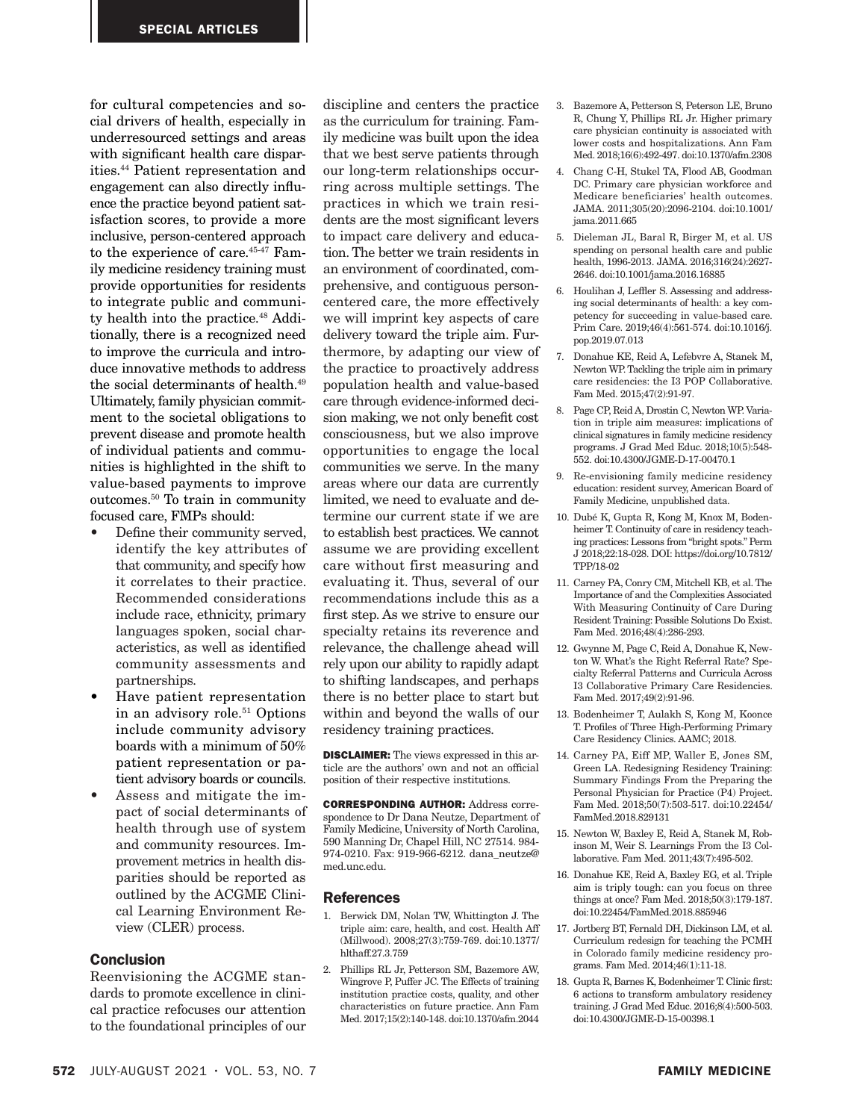for cultural competencies and social drivers of health, especially in underresourced settings and areas with significant health care disparities.44 Patient representation and engagement can also directly influence the practice beyond patient satisfaction scores, to provide a more inclusive, person-centered approach to the experience of care.45-47 Family medicine residency training must provide opportunities for residents to integrate public and community health into the practice.<sup>48</sup> Additionally, there is a recognized need to improve the curricula and introduce innovative methods to address the social determinants of health.49 Ultimately, family physician commitment to the societal obligations to prevent disease and promote health of individual patients and communities is highlighted in the shift to value-based payments to improve outcomes.50 To train in community focused care, FMPs should:

- Define their community served, identify the key attributes of that community, and specify how it correlates to their practice. Recommended considerations include race, ethnicity, primary languages spoken, social characteristics, as well as identified community assessments and partnerships.
- Have patient representation in an advisory role.<sup>51</sup> Options include community advisory boards with a minimum of 50% patient representation or patient advisory boards or councils.
- Assess and mitigate the impact of social determinants of health through use of system and community resources. Improvement metrics in health disparities should be reported as outlined by the ACGME Clinical Learning Environment Review (CLER) process.

#### **Conclusion**

Reenvisioning the ACGME standards to promote excellence in clinical practice refocuses our attention to the foundational principles of our

discipline and centers the practice as the curriculum for training. Family medicine was built upon the idea that we best serve patients through our long-term relationships occurring across multiple settings. The practices in which we train residents are the most significant levers to impact care delivery and education. The better we train residents in an environment of coordinated, comprehensive, and contiguous personcentered care, the more effectively we will imprint key aspects of care delivery toward the triple aim. Furthermore, by adapting our view of the practice to proactively address population health and value-based care through evidence-informed decision making, we not only benefit cost consciousness, but we also improve opportunities to engage the local communities we serve. In the many areas where our data are currently limited, we need to evaluate and determine our current state if we are to establish best practices. We cannot assume we are providing excellent care without first measuring and evaluating it. Thus, several of our recommendations include this as a first step. As we strive to ensure our specialty retains its reverence and relevance, the challenge ahead will rely upon our ability to rapidly adapt to shifting landscapes, and perhaps there is no better place to start but within and beyond the walls of our residency training practices.

DISCLAIMER: The views expressed in this article are the authors' own and not an official position of their respective institutions.

CORRESPONDING AUTHOR: Address correspondence to Dr Dana Neutze, Department of Family Medicine, University of North Carolina, 590 Manning Dr, Chapel Hill, NC 27514. 984- 974-0210. Fax: 919-966-6212. dana\_neutze@ med.unc.edu.

#### References

- 1. Berwick DM, Nolan TW, Whittington J. The triple aim: care, health, and cost. Health Aff (Millwood). 2008;27(3):759-769. doi:10.1377/ hlthaff.27.3.759
- 2. Phillips RL Jr, Petterson SM, Bazemore AW, Wingrove P, Puffer JC. The Effects of training institution practice costs, quality, and other characteristics on future practice. Ann Fam Med. 2017;15(2):140-148. doi:10.1370/afm.2044
- 3. Bazemore A, Petterson S, Peterson LE, Bruno R, Chung Y, Phillips RL Jr. Higher primary care physician continuity is associated with lower costs and hospitalizations. Ann Fam Med. 2018;16(6):492-497. doi:10.1370/afm.2308
- 4. Chang C-H, Stukel TA, Flood AB, Goodman DC. Primary care physician workforce and Medicare beneficiaries' health outcomes. JAMA. 2011;305(20):2096-2104. doi:10.1001/ jama.2011.665
- 5. Dieleman JL, Baral R, Birger M, et al. US spending on personal health care and public health, 1996-2013. JAMA. 2016;316(24):2627- 2646. doi:10.1001/jama.2016.16885
- 6. Houlihan J, Leffler S. Assessing and addressing social determinants of health: a key competency for succeeding in value-based care. Prim Care. 2019;46(4):561-574. doi:10.1016/j. pop.2019.07.013
- 7. Donahue KE, Reid A, Lefebvre A, Stanek M, Newton WP. Tackling the triple aim in primary care residencies: the I3 POP Collaborative. Fam Med. 2015;47(2):91-97.
- 8. Page CP, Reid A, Drostin C, Newton WP. Variation in triple aim measures: implications of clinical signatures in family medicine residency programs. J Grad Med Educ. 2018;10(5):548- 552. doi:10.4300/JGME-D-17-00470.1
- 9. Re-envisioning family medicine residency education: resident survey, American Board of Family Medicine, unpublished data.
- 10. Dubé K, Gupta R, Kong M, Knox M, Bodenheimer T. Continuity of care in residency teaching practices: Lessons from "bright spots." Perm J 2018;22:18-028. DOI: https://doi.org/10.7812/ TPP/18-02
- 11. Carney PA, Conry CM, Mitchell KB, et al. The Importance of and the Complexities Associated With Measuring Continuity of Care During Resident Training: Possible Solutions Do Exist. Fam Med. 2016;48(4):286-293.
- 12. Gwynne M, Page C, Reid A, Donahue K, Newton W. What's the Right Referral Rate? Specialty Referral Patterns and Curricula Across I3 Collaborative Primary Care Residencies. Fam Med. 2017;49(2):91-96.
- 13. Bodenheimer T, Aulakh S, Kong M, Koonce T. Profiles of Three High-Performing Primary Care Residency Clinics. AAMC; 2018.
- 14. Carney PA, Eiff MP, Waller E, Jones SM, Green LA. Redesigning Residency Training: Summary Findings From the Preparing the Personal Physician for Practice (P4) Project. Fam Med. 2018;50(7):503-517. doi:10.22454/ FamMed.2018.829131
- 15. Newton W, Baxley E, Reid A, Stanek M, Robinson M, Weir S. Learnings From the I3 Collaborative. Fam Med. 2011;43(7):495-502.
- 16. Donahue KE, Reid A, Baxley EG, et al. Triple aim is triply tough: can you focus on three things at once? Fam Med. 2018;50(3):179-187. doi:10.22454/FamMed.2018.885946
- 17. Jortberg BT, Fernald DH, Dickinson LM, et al. Curriculum redesign for teaching the PCMH in Colorado family medicine residency programs. Fam Med. 2014;46(1):11-18.
- 18. Gupta R, Barnes K, Bodenheimer T. Clinic first: 6 actions to transform ambulatory residency training. J Grad Med Educ. 2016;8(4):500-503. doi:10.4300/JGME-D-15-00398.1